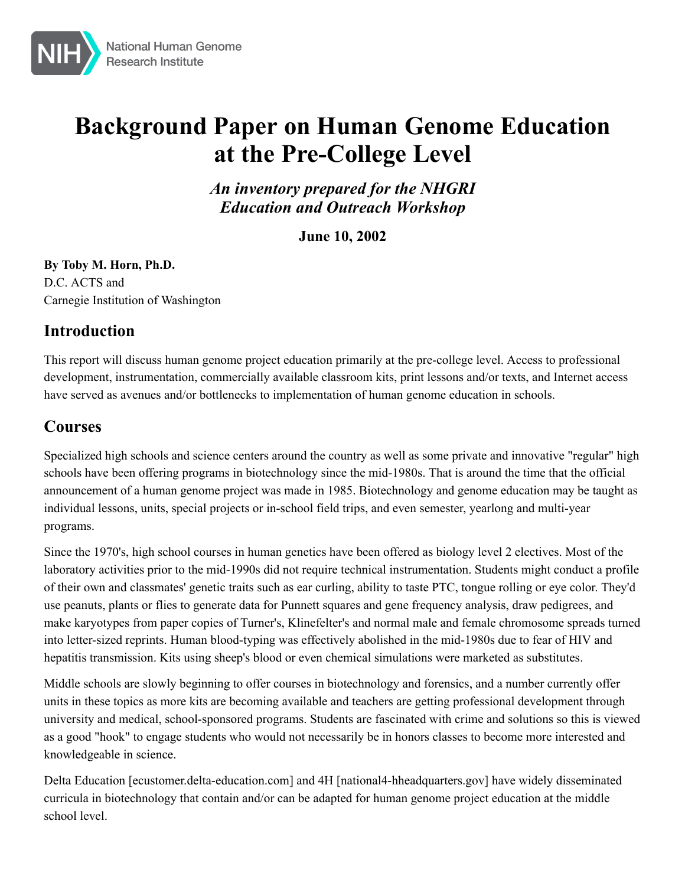

# **Background Paper on Human Genome Education at the Pre-College Level**

*An inventory prepared for the NHGRI Education and Outreach Workshop*

**June 10, 2002**

**By Toby M. Horn, Ph.D.** D.C. ACTS and Carnegie Institution of Washington

# **Introduction**

This report will discuss human genome project education primarily at the pre-college level. Access to professional development, instrumentation, commercially available classroom kits, print lessons and/or texts, and Internet access have served as avenues and/or bottlenecks to implementation of human genome education in schools.

# **Courses**

Specialized high schools and science centers around the country as well as some private and innovative "regular" high schools have been offering programs in biotechnology since the mid-1980s. That is around the time that the official announcement of a human genome project was made in 1985. Biotechnology and genome education may be taught as individual lessons, units, special projects or in-school field trips, and even semester, yearlong and multi-year programs.

Since the 1970's, high school courses in human genetics have been offered as biology level 2 electives. Most of the laboratory activities prior to the mid-1990s did not require technical instrumentation. Students might conduct a profile of their own and classmates' genetic traits such as ear curling, ability to taste PTC, tongue rolling or eye color. They'd use peanuts, plants or flies to generate data for Punnett squares and gene frequency analysis, draw pedigrees, and make karyotypes from paper copies of Turner's, Klinefelter's and normal male and female chromosome spreads turned into letter-sized reprints. Human blood-typing was effectively abolished in the mid-1980s due to fear of HIV and hepatitis transmission. Kits using sheep's blood or even chemical simulations were marketed as substitutes.

Middle schools are slowly beginning to offer courses in biotechnology and forensics, and a number currently offer units in these topics as more kits are becoming available and teachers are getting professional development through university and medical, school-sponsored programs. Students are fascinated with crime and solutions so this is viewed as a good "hook" to engage students who would not necessarily be in honors classes to become more interested and knowledgeable in science.

[Delta Education](http://ecustomer.delta-education.com/search/product.asp?part_no=738-4684) [ecustomer.delta-education.com] and [4H](http://www.national4-hheadquarters.gov/) [national4-hheadquarters.gov] have widely disseminated curricula in biotechnology that contain and/or can be adapted for human genome project education at the middle school level.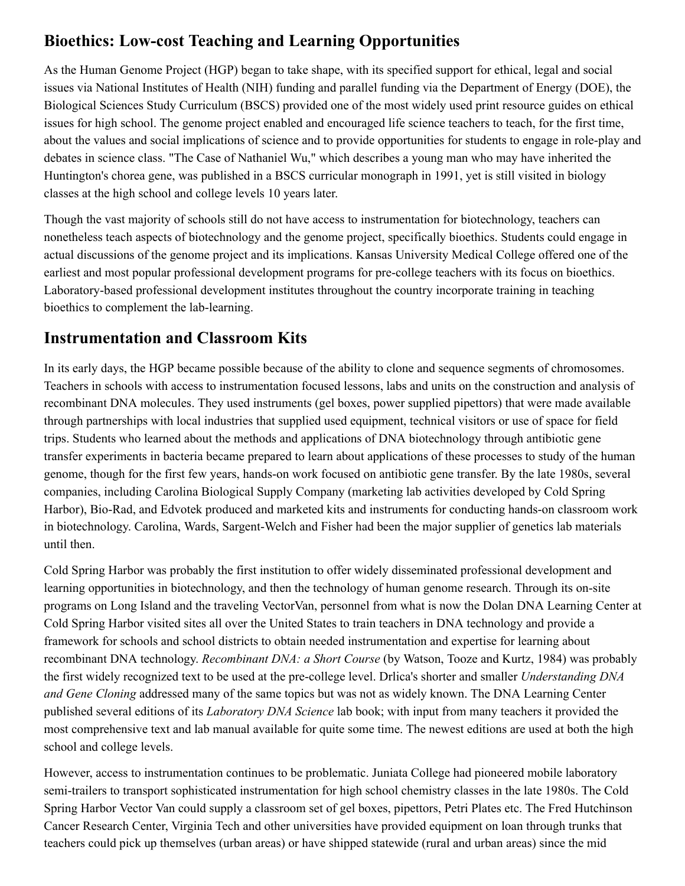# **Bioethics: Low-cost Teaching and Learning Opportunities**

As the Human Genome Project (HGP) began to take shape, with its specified support for ethical, legal and social issues via National Institutes of Health (NIH) funding and parallel funding via the Department of Energy (DOE), the Biological Sciences Study Curriculum (BSCS) provided one of the most widely used print resource guides on ethical issues for high school. The genome project enabled and encouraged life science teachers to teach, for the first time, about the values and social implications of science and to provide opportunities for students to engage in role-play and debates in science class. "The Case of Nathaniel Wu," which describes a young man who may have inherited the Huntington's chorea gene, was published in a BSCS curricular monograph in 1991, yet is still visited in biology classes at the high school and college levels 10 years later.

Though the vast majority of schools still do not have access to instrumentation for biotechnology, teachers can nonetheless teach aspects of biotechnology and the genome project, specifically bioethics. Students could engage in actual discussions of the genome project and its implications. Kansas University Medical College offered one of the earliest and most popular professional development programs for pre-college teachers with its focus on bioethics. Laboratory-based professional development institutes throughout the country incorporate training in teaching bioethics to complement the lab-learning.

### **Instrumentation and Classroom Kits**

In its early days, the HGP became possible because of the ability to clone and sequence segments of chromosomes. Teachers in schools with access to instrumentation focused lessons, labs and units on the construction and analysis of recombinant DNA molecules. They used instruments (gel boxes, power supplied pipettors) that were made available through partnerships with local industries that supplied used equipment, technical visitors or use of space for field trips. Students who learned about the methods and applications of DNA biotechnology through antibiotic gene transfer experiments in bacteria became prepared to learn about applications of these processes to study of the human genome, though for the first few years, hands-on work focused on antibiotic gene transfer. By the late 1980s, several companies, including Carolina Biological Supply Company (marketing lab activities developed by Cold Spring Harbor), Bio-Rad, and Edvotek produced and marketed kits and instruments for conducting hands-on classroom work in biotechnology. Carolina, Wards, Sargent-Welch and Fisher had been the major supplier of genetics lab materials until then.

Cold Spring Harbor was probably the first institution to offer widely disseminated professional development and learning opportunities in biotechnology, and then the technology of human genome research. Through its on-site programs on Long Island and the traveling VectorVan, personnel from what is now the Dolan DNA Learning Center at Cold Spring Harbor visited sites all over the United States to train teachers in DNA technology and provide a framework for schools and school districts to obtain needed instrumentation and expertise for learning about recombinant DNA technology. *Recombinant DNA: a Short Course* (by Watson, Tooze and Kurtz, 1984) was probably the first widely recognized text to be used at the pre-college level. Drlica's shorter and smaller *Understanding DNA and Gene Cloning* addressed many of the same topics but was not as widely known. The DNA Learning Center published several editions of its *Laboratory DNA Science* lab book; with input from many teachers it provided the most comprehensive text and lab manual available for quite some time. The newest editions are used at both the high school and college levels.

However, access to instrumentation continues to be problematic. Juniata College had pioneered mobile laboratory semi-trailers to transport sophisticated instrumentation for high school chemistry classes in the late 1980s. The Cold Spring Harbor Vector Van could supply a classroom set of gel boxes, pipettors, Petri Plates etc. The Fred Hutchinson Cancer Research Center, Virginia Tech and other universities have provided equipment on loan through trunks that teachers could pick up themselves (urban areas) or have shipped statewide (rural and urban areas) since the mid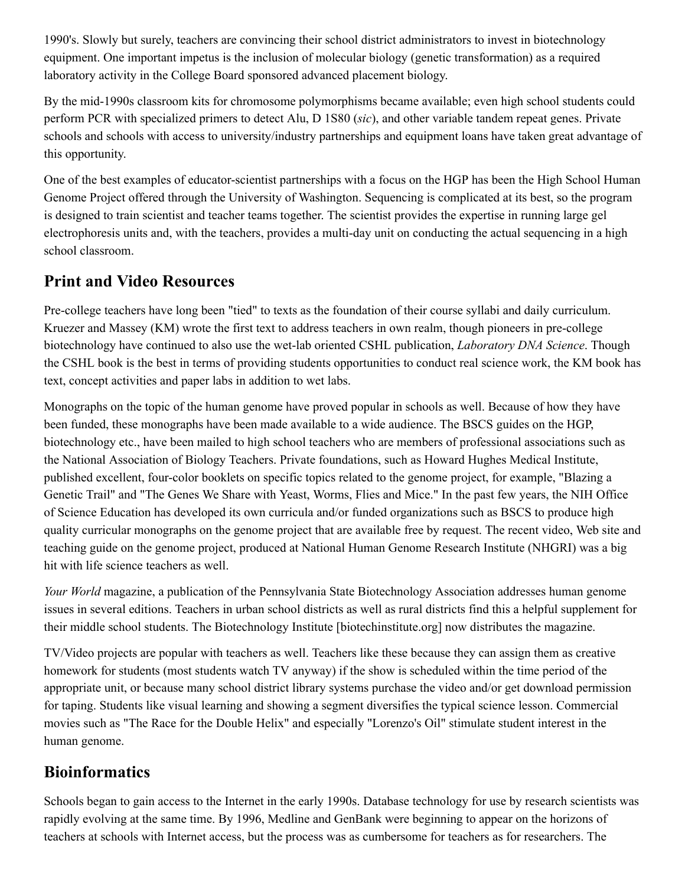1990's. Slowly but surely, teachers are convincing their school district administrators to invest in biotechnology equipment. One important impetus is the inclusion of molecular biology (genetic transformation) as a required laboratory activity in the College Board sponsored advanced placement biology.

By the mid-1990s classroom kits for chromosome polymorphisms became available; even high school students could perform PCR with specialized primers to detect Alu, D 1S80 (*sic*), and other variable tandem repeat genes. Private schools and schools with access to university/industry partnerships and equipment loans have taken great advantage of this opportunity.

One of the best examples of educator-scientist partnerships with a focus on the HGP has been the High School Human Genome Project offered through the University of Washington. Sequencing is complicated at its best, so the program is designed to train scientist and teacher teams together. The scientist provides the expertise in running large gel electrophoresis units and, with the teachers, provides a multi-day unit on conducting the actual sequencing in a high school classroom.

### **Print and Video Resources**

Pre-college teachers have long been "tied" to texts as the foundation of their course syllabi and daily curriculum. Kruezer and Massey (KM) wrote the first text to address teachers in own realm, though pioneers in pre-college biotechnology have continued to also use the wet-lab oriented CSHL publication, *Laboratory DNA Science*. Though the CSHL book is the best in terms of providing students opportunities to conduct real science work, the KM book has text, concept activities and paper labs in addition to wet labs.

Monographs on the topic of the human genome have proved popular in schools as well. Because of how they have been funded, these monographs have been made available to a wide audience. The BSCS guides on the HGP, biotechnology etc., have been mailed to high school teachers who are members of professional associations such as the National Association of Biology Teachers. Private foundations, such as Howard Hughes Medical Institute, published excellent, four-color booklets on specific topics related to the genome project, for example, "Blazing a Genetic Trail" and "The Genes We Share with Yeast, Worms, Flies and Mice." In the past few years, the NIH Office of Science Education has developed its own curricula and/or funded organizations such as BSCS to produce high quality curricular monographs on the genome project that are available free by request. The recent video, Web site and teaching guide on the genome project, produced at National Human Genome Research Institute (NHGRI) was a big hit with life science teachers as well.

*Your World* magazine, a publication of the Pennsylvania State Biotechnology Association addresses human genome issues in several editions. Teachers in urban school districts as well as rural districts find this a helpful supplement for their middle school students. The [Biotechnology Institute](http://www.biotechinstitute.org/) [biotechinstitute.org] now distributes the magazine.

TV/Video projects are popular with teachers as well. Teachers like these because they can assign them as creative homework for students (most students watch TV anyway) if the show is scheduled within the time period of the appropriate unit, or because many school district library systems purchase the video and/or get download permission for taping. Students like visual learning and showing a segment diversifies the typical science lesson. Commercial movies such as "The Race for the Double Helix" and especially "Lorenzo's Oil" stimulate student interest in the human genome.

# **Bioinformatics**

Schools began to gain access to the Internet in the early 1990s. Database technology for use by research scientists was rapidly evolving at the same time. By 1996, Medline and GenBank were beginning to appear on the horizons of teachers at schools with Internet access, but the process was as cumbersome for teachers as for researchers. The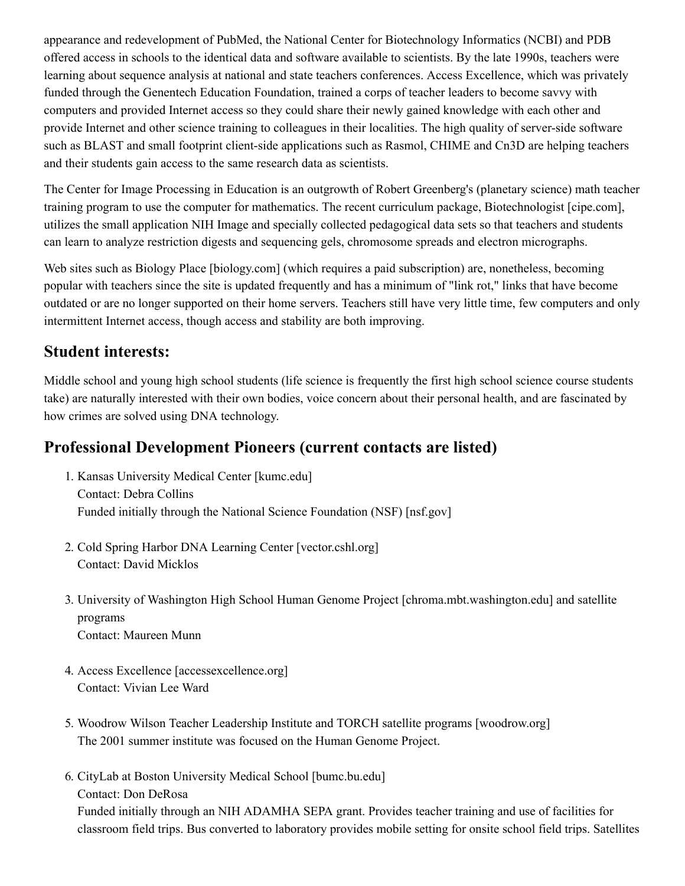appearance and redevelopment of PubMed, the [National Center for Biotechnology Informatics \(NCBI\)](http://www.ncbi.nlm.nih.gov/) and PDB offered access in schools to the identical data and software available to scientists. By the late 1990s, teachers were learning about sequence analysis at national and state teachers conferences. Access Excellence, which was privately funded through the Genentech Education Foundation, trained a corps of teacher leaders to become savvy with computers and provided Internet access so they could share their newly gained knowledge with each other and provide Internet and other science training to colleagues in their localities. The high quality of server-side software such as BLAST and small footprint client-side applications such as Rasmol, CHIME and Cn3D are helping teachers and their students gain access to the same research data as scientists.

The Center for Image Processing in Education is an outgrowth of Robert Greenberg's (planetary science) math teacher training program to use the computer for mathematics. The recent curriculum package, [Biotechnologist](http://www.cipe.com/) [cipe.com], utilizes the small application NIH Image and specially collected pedagogical data sets so that teachers and students can learn to analyze restriction digests and sequencing gels, chromosome spreads and electron micrographs.

Web sites such as [Biology Place](http://www.biology.com/) [biology.com] (which requires a paid subscription) are, nonetheless, becoming popular with teachers since the site is updated frequently and has a minimum of "link rot," links that have become outdated or are no longer supported on their home servers. Teachers still have very little time, few computers and only intermittent Internet access, though access and stability are both improving.

#### **Student interests:**

Middle school and young high school students (life science is frequently the first high school science course students take) are naturally interested with their own bodies, voice concern about their personal health, and are fascinated by how crimes are solved using DNA technology.

### **Professional Development Pioneers (current contacts are listed)**

- 1. [Kansas University Medical Center](http://www.kumc.edu/gec/) [kumc.edu] Contact: Debra Collins Funded initially through the [National Science Foundation \(NSF\)](http://www.nsf.gov/) [nsf.gov]
- 2. [Cold Spring Harbor DNA Learning Center](http://vector.cshl.org/) [vector.cshl.org] Contact: David Micklos
- 3. [University of Washington High School Human Genome Project](http://chroma.mbt.washington.edu/outreach/) [chroma.mbt.washington.edu] and satellite programs Contact: Maureen Munn
- 4. [Access Excellence](http://www.accessexcellence.org/) [accessexcellence.org] Contact: Vivian Lee Ward
- 5. [Woodrow Wilson Teacher Leadership Institute and TORCH satellite programs](http://www.woodrow.org/) [woodrow.org] The 2001 summer institute was focused on the Human Genome Project.
- 6. [CityLab at Boston University Medical School](http://www.bumc.bu.edu/citylab) [bumc.bu.edu] Contact: Don DeRosa

Funded initially through an NIH ADAMHA SEPA grant. Provides teacher training and use of facilities for classroom field trips. Bus converted to laboratory provides mobile setting for onsite school field trips. Satellites